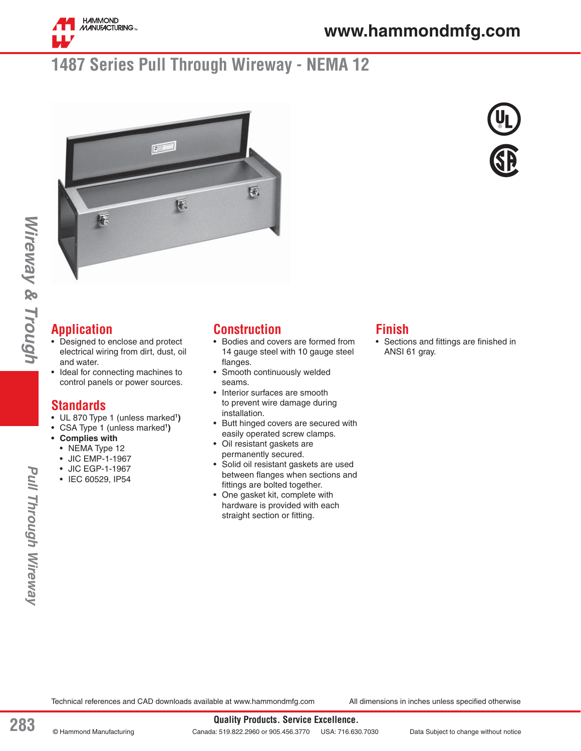

## **1487 Series Pull Through Wireway - NEMA 12**





## **Application**

- Designed to enclose and protect electrical wiring from dirt, dust, oil and water.
- Ideal for connecting machines to control panels or power sources.

#### **Standards**

- UL 870 Type 1 (unless marked**<sup>1</sup> )**
- CSA Type 1 (unless marked**<sup>1</sup> )**
- **Complies with** 
	- NEMA Type 12
	- JIC EMP-1-1967
	- JIC EGP-1-1967
	- IEC 60529, IP54

#### **Construction**

- Bodies and covers are formed from 14 gauge steel with 10 gauge steel flanges.
- Smooth continuously welded seams.
- Interior surfaces are smooth to prevent wire damage during installation.
- Butt hinged covers are secured with easily operated screw clamps.
- Oil resistant gaskets are permanently secured.
- Solid oil resistant gaskets are used between flanges when sections and fittings are bolted together.
- One gasket kit, complete with hardware is provided with each straight section or fitting.

#### **Finish**

• Sections and fittings are finished in ANSI 61 gray.

*Wireway & Trough*

Wireway & Trough

Technical references and CAD downloads available at www.hammondmfg.com All dimensions in inches unless specified otherwise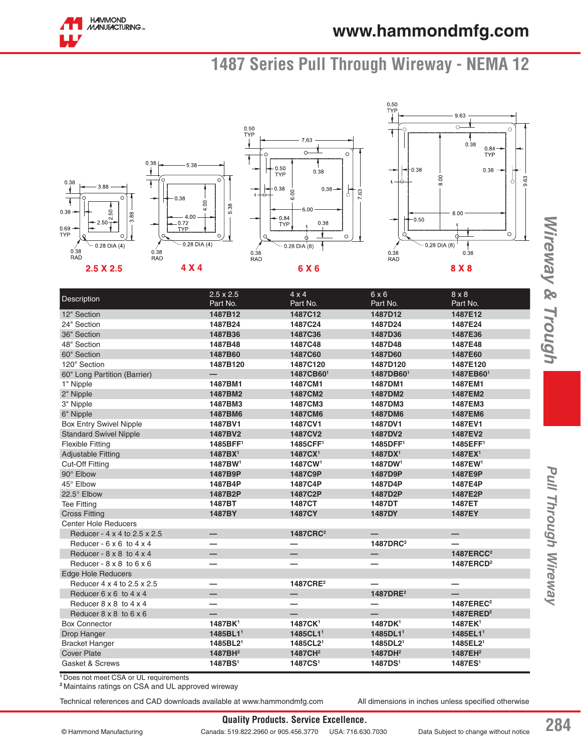# **1487 Series Pull Through Wireway - NEMA 12**



| Description                            | $2.5 \times 2.5$         | $4 \times 4$             | 6x6                  | $8 \times 8$             |
|----------------------------------------|--------------------------|--------------------------|----------------------|--------------------------|
|                                        | Part No.                 | Part No.                 | Part No.             | Part No.                 |
| 12" Section                            | 1487B12                  | 1487C12                  | 1487D12              | 1487E12                  |
| 24" Section                            | 1487B24                  | 1487C24                  | 1487D24              | 1487E24                  |
| 36" Section                            | 1487B36                  | 1487C36                  | 1487D36              | 1487E36                  |
| 48" Section                            | 1487B48                  | 1487C48                  | 1487D48              | 1487E48                  |
| 60" Section                            | 1487B60                  | 1487C60                  | 1487D60              | 1487E60                  |
| 120" Section                           | 1487B120                 | 1487C120                 | 1487D120             | 1487E120                 |
| 60" Long Partition (Barrier)           |                          | 1487CB601                | 1487DB601            | 1487EB601                |
| 1" Nipple                              | 1487BM1                  | 1487CM1                  | 1487DM1              | 1487EM1                  |
| 2" Nipple                              | 1487BM2                  | 1487CM2                  | 1487DM2              | 1487EM2                  |
| 3" Nipple                              | 1487BM3                  | 1487CM3                  | 1487DM3              | 1487EM3                  |
| 6" Nipple                              | 1487BM6                  | 1487CM6                  | 1487DM6              | 1487EM6                  |
| <b>Box Entry Swivel Nipple</b>         | 1487BV1                  | 1487CV1                  | 1487DV1              | 1487EV1                  |
| <b>Standard Swivel Nipple</b>          | 1487BV2                  | 1487CV2                  | 1487DV2              | 1487EV2                  |
| <b>Flexible Fitting</b>                | 1485BFF1                 | 1485CFF <sup>1</sup>     | 1485DFF1             | 1485EFF <sup>1</sup>     |
| <b>Adjustable Fitting</b>              | 1487BX <sup>1</sup>      | 1487CX <sup>1</sup>      | 1487DX <sup>1</sup>  | 1487EX <sup>1</sup>      |
| <b>Cut-Off Fitting</b>                 | 1487BW <sup>1</sup>      | 1487CW <sup>1</sup>      | 1487DW <sup>1</sup>  | 1487EW <sup>1</sup>      |
| 90° Elbow                              | 1487B9P                  | 1487C9P                  | 1487D9P              | 1487E9P                  |
| 45° Elbow                              | 1487B4P                  | 1487C4P                  | 1487D4P              | 1487E4P                  |
| 22.5° Elbow                            | 1487B2P                  | 1487C2P                  | 1487D2P              | 1487E2P                  |
| <b>Tee Fitting</b>                     | 1487BT                   | 1487CT                   | 1487DT               | 1487ET                   |
| <b>Cross Fitting</b>                   | 1487BY                   | <b>1487CY</b>            | 1487DY               | 1487EY                   |
| <b>Center Hole Reducers</b>            |                          |                          |                      |                          |
| Reducer - 4 x 4 to 2.5 x 2.5           |                          | 1487CRC <sup>2</sup>     |                      | $\overline{\phantom{0}}$ |
| Reducer - $6 \times 6$ to $4 \times 4$ |                          |                          | 1487DRC <sup>2</sup> |                          |
| Reducer - $8 \times 8$ to $4 \times 4$ | $\overline{\phantom{0}}$ | $\overline{\phantom{0}}$ | —                    | 1487ERCC <sup>2</sup>    |
| Reducer - $8 \times 8$ to $6 \times 6$ |                          |                          |                      | 1487ERCD <sup>2</sup>    |
| <b>Edge Hole Reducers</b>              |                          |                          |                      |                          |
| Reducer 4 x 4 to 2.5 x 2.5             |                          | 1487CRE <sup>2</sup>     |                      |                          |
| Reducer $6 \times 6$ to $4 \times 4$   | $\overline{\phantom{0}}$ | $\overline{\phantom{0}}$ | 1487DRE <sup>2</sup> |                          |
| Reducer $8 \times 8$ to $4 \times 4$   |                          |                          |                      | 1487EREC <sup>2</sup>    |
| Reducer $8 \times 8$ to $6 \times 6$   |                          |                          |                      | 1487ERED <sup>2</sup>    |
| <b>Box Connector</b>                   | 1487BK <sup>1</sup>      | 1487CK <sup>1</sup>      | 1487DK <sup>1</sup>  | 1487EK <sup>1</sup>      |
| Drop Hanger                            | 1485BL1 <sup>1</sup>     | 1485CL1 <sup>1</sup>     | 1485DL1 <sup>1</sup> | 1485EL1 <sup>1</sup>     |
| <b>Bracket Hanger</b>                  | 1485BL2 <sup>1</sup>     | 1485CL2 <sup>1</sup>     | 1485DL2 <sup>1</sup> | 1485EL2 <sup>1</sup>     |
| <b>Cover Plate</b>                     | 1487BH <sup>2</sup>      | 1487CH <sup>2</sup>      | 1487DH <sup>2</sup>  | 1487EH <sup>2</sup>      |
| Gasket & Screws                        | 1487BS <sup>1</sup>      | 1487CS <sup>1</sup>      | 1487DS <sup>1</sup>  | 1487ES <sup>1</sup>      |

**<sup>1</sup>**Does not meet CSA or UL requirements

**<sup>2</sup>**Maintains ratings on CSA and UL approved wireway

Technical references and CAD downloads available at www.hammondmfg.com All dimensions in inches unless specified otherwise